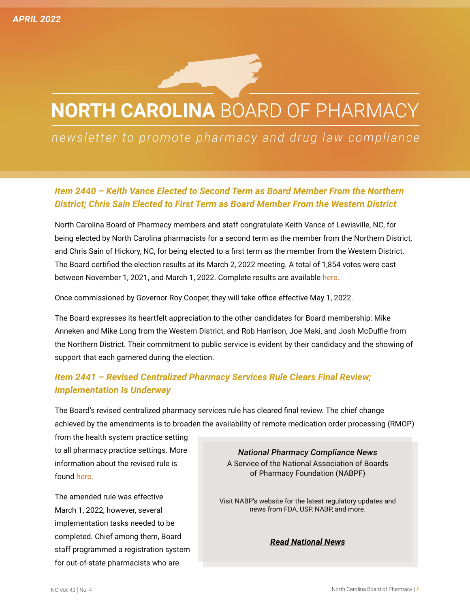# **NORTH CAROLINA BOARD OF PHARMACY**

## newsletter to promote pharmacy and drug law compliance

#### *Item 2440 – Keith Vance Elected to Second Term as Board Member From the Northern District; Chris Sain Elected to First Term as Board Member From the Western District*

North Carolina Board of Pharmacy members and staff congratulate Keith Vance of Lewisville, NC, for being elected by North Carolina pharmacists for a second term as the member from the Northern District, and Chris Sain of Hickory, NC, for being elected to a first term as the member from the Western District. The Board certified the election results at its March 2, 2022 meeting. A total of 1,854 votes were cast between November 1, 2021, and March 1, 2022. Complete results are available [here](http://www.ncbop.org/Election_files/FinalResultsNCBOPElections2021_2022NorthernWesternDist03022022.pdf).

Once commissioned by Governor Roy Cooper, they will take office effective May 1, 2022.

The Board expresses its heartfelt appreciation to the other candidates for Board membership: Mike Anneken and Mike Long from the Western District, and Rob Harrison, Joe Maki, and Josh McDuffie from the Northern District. Their commitment to public service is evident by their candidacy and the showing of support that each garnered during the election.

### *Item 2441 – Revised Centralized Pharmacy Services Rule Clears Final Review; Implementation Is Underway*

The Board's revised centralized pharmacy services rule has cleared final review. The chief change achieved by the amendments is to broaden the availability of remote medication order processing (RMOP)

from the health system practice setting to all pharmacy practice settings. More information about the revised rule is found [here](http://www.ncbop.org/LawsRules/Submission_for_Permanent_Rule_1816.pdf).

The amended rule was effective March 1, 2022, however, several implementation tasks needed to be completed. Chief among them, Board staff programmed a registration system for out-of-state pharmacists who are

*National Pharmacy Compliance News*  A Service of the National Association of Boards of Pharmacy Foundation (NABPF)

Visit NABP's website for the latest regulatory updates and news from FDA, USP, NABP, and more.

*[Read National News](https://nabp.pharmacy/newsroom/national-news/)*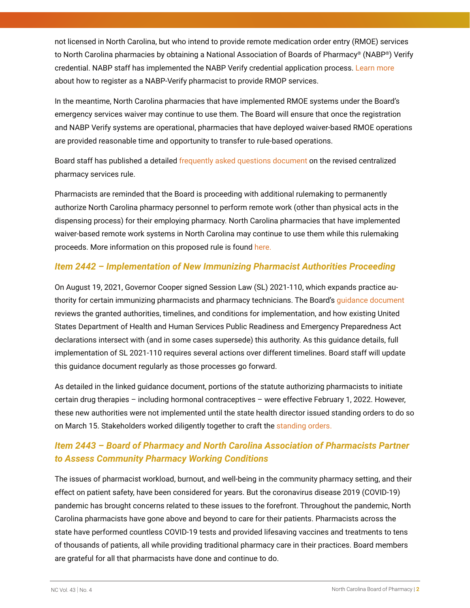not licensed in North Carolina, but who intend to provide remote medication order entry (RMOE) services to North Carolina pharmacies by obtaining a National Association of Boards of Pharmacy® (NABP®) Verify credential. NABP staff has implemented the NABP Verify credential application process. [Learn more](http://www.ncbop.org/PDF/HowToRegisterAsNABPVerifyHolder.pdf) about how to register as a NABP-Verify pharmacist to provide RMOP services.

In the meantime, North Carolina pharmacies that have implemented RMOE systems under the Board's emergency services waiver may continue to use them. The Board will ensure that once the registration and NABP Verify systems are operational, pharmacies that have deployed waiver-based RMOE operations are provided reasonable time and opportunity to transfer to rule-based operations.

Board staff has published a detailed f[requently asked questions document](http://www.ncbop.org/PDF/GuideToInterPharmacyRMOP.pdf) on the revised centralized pharmacy services rule.

Pharmacists are reminded that the Board is proceeding with additional rulemaking to permanently authorize North Carolina pharmacy personnel to perform remote work (other than physical acts in the dispensing process) for their employing pharmacy. North Carolina pharmacies that have implemented waiver-based remote work systems in North Carolina may continue to use them while this rulemaking proceeds. More information on this proposed rule is found [here](http://www.ncbop.org/LawsRules/2515ProposedRuleRemoteWorkNoticeofTextPublicHearing020822.pdf).

#### *Item 2442 – Implementation of New Immunizing Pharmacist Authorities Proceeding*

On August 19, 2021, Governor Cooper signed Session Law (SL) 2021-110, which expands practice authority for certain immunizing pharmacists and pharmacy technicians. The Board's [guidance document](http://www.ncbop.org/PDF/SL2021110GuidanceAug2021.pdf) reviews the granted authorities, timelines, and conditions for implementation, and how existing United States Department of Health and Human Services Public Readiness and Emergency Preparedness Act declarations intersect with (and in some cases supersede) this authority. As this guidance details, full implementation of SL 2021-110 requires several actions over different timelines. Board staff will update this [guidance document](http://www.ncbop.org/PDF/SL2021110GuidanceAug2021.pdf) regularly as those processes go forward.

As detailed in the linked guidance document, portions of the statute authorizing pharmacists to initiate certain drug therapies – including hormonal contraceptives – were effective February 1, 2022. However, these new authorities were not implemented until the state health director issued standing orders to do so on March 15. Stakeholders worked diligently together to craft the [standing orders](https://www.ncleg.gov/Sessions/2021/Bills/House/PDF/H96v6.pdf).

### *Item 2443 – Board of Pharmacy and North Carolina Association of Pharmacists Partner to Assess Community Pharmacy Working Conditions*

The issues of pharmacist workload, burnout, and well-being in the community pharmacy setting, and their effect on patient safety, have been considered for years. But the coronavirus disease 2019 (COVID-19) pandemic has brought concerns related to these issues to the forefront. Throughout the pandemic, North Carolina pharmacists have gone above and beyond to care for their patients. Pharmacists across the state have performed countless COVID-19 tests and provided lifesaving vaccines and treatments to tens of thousands of patients, all while providing traditional pharmacy care in their practices. Board members are grateful for all that pharmacists have done and continue to do.